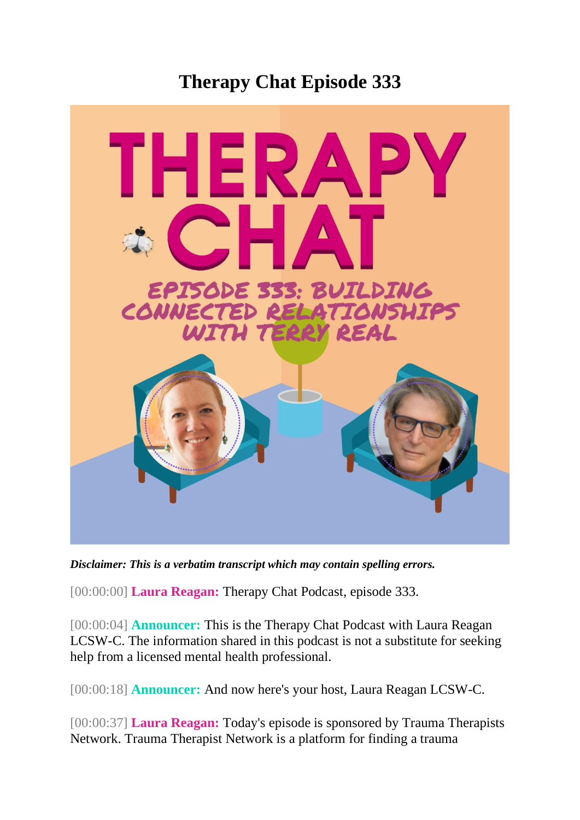## **Therapy Chat Episode 333**



*Disclaimer: This is a verbatim transcript which may contain spelling errors.*

[00:00:00] **Laura Reagan:** Therapy Chat Podcast, episode 333.

[00:00:04] **Announcer:** This is the Therapy Chat Podcast with Laura Reagan LCSW-C. The information shared in this podcast is not a substitute for seeking help from a licensed mental health professional.

[00:00:18] **Announcer:** And now here's your host, Laura Reagan LCSW-C.

[00:00:37] **Laura Reagan:** Today's episode is sponsored by Trauma Therapists Network. Trauma Therapist Network is a platform for finding a trauma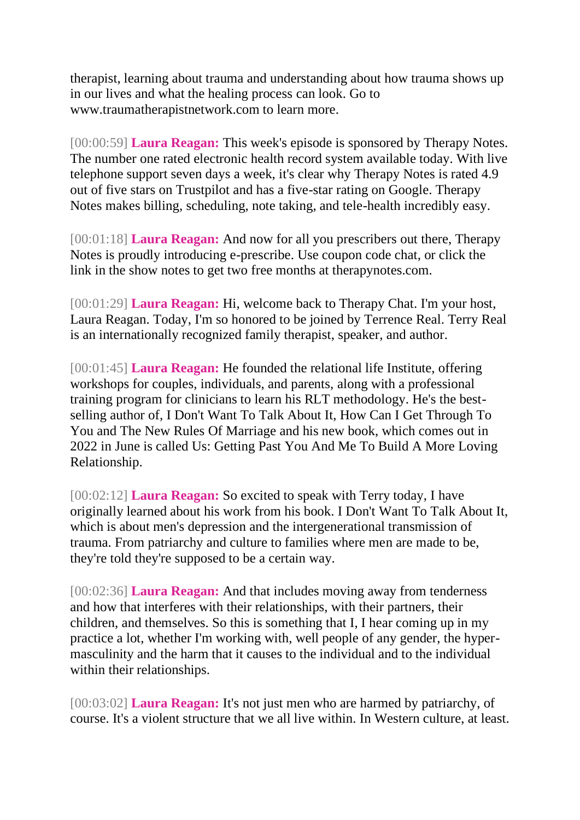therapist, learning about trauma and understanding about how trauma shows up in our lives and what the healing process can look. Go to www.traumatherapistnetwork.com to learn more.

[00:00:59] **Laura Reagan:** This week's episode is sponsored by Therapy Notes. The number one rated electronic health record system available today. With live telephone support seven days a week, it's clear why Therapy Notes is rated 4.9 out of five stars on Trustpilot and has a five-star rating on Google. Therapy Notes makes billing, scheduling, note taking, and tele-health incredibly easy.

[00:01:18] **Laura Reagan:** And now for all you prescribers out there, Therapy Notes is proudly introducing e-prescribe. Use coupon code chat, or click the link in the show notes to get two free months at therapynotes.com.

[00:01:29] **Laura Reagan:** Hi, welcome back to Therapy Chat. I'm your host, Laura Reagan. Today, I'm so honored to be joined by Terrence Real. Terry Real is an internationally recognized family therapist, speaker, and author.

[00:01:45] **Laura Reagan:** He founded the relational life Institute, offering workshops for couples, individuals, and parents, along with a professional training program for clinicians to learn his RLT methodology. He's the bestselling author of, I Don't Want To Talk About It, How Can I Get Through To You and The New Rules Of Marriage and his new book, which comes out in 2022 in June is called Us: Getting Past You And Me To Build A More Loving Relationship.

[00:02:12] **Laura Reagan:** So excited to speak with Terry today, I have originally learned about his work from his book. I Don't Want To Talk About It, which is about men's depression and the intergenerational transmission of trauma. From patriarchy and culture to families where men are made to be, they're told they're supposed to be a certain way.

[00:02:36] **Laura Reagan:** And that includes moving away from tenderness and how that interferes with their relationships, with their partners, their children, and themselves. So this is something that I, I hear coming up in my practice a lot, whether I'm working with, well people of any gender, the hypermasculinity and the harm that it causes to the individual and to the individual within their relationships.

[00:03:02] **Laura Reagan:** It's not just men who are harmed by patriarchy, of course. It's a violent structure that we all live within. In Western culture, at least.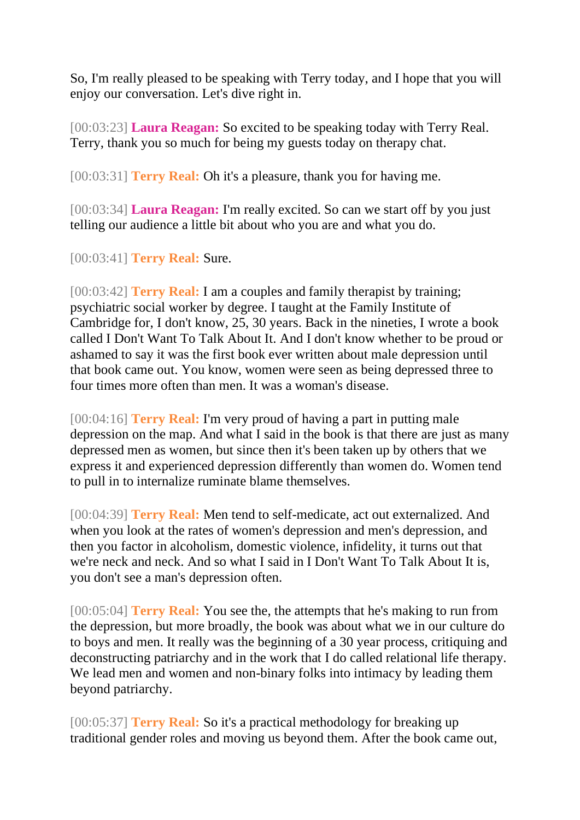So, I'm really pleased to be speaking with Terry today, and I hope that you will enjoy our conversation. Let's dive right in.

[00:03:23] **Laura Reagan:** So excited to be speaking today with Terry Real. Terry, thank you so much for being my guests today on therapy chat.

[00:03:31] **Terry Real:** Oh it's a pleasure, thank you for having me.

[00:03:34] **Laura Reagan:** I'm really excited. So can we start off by you just telling our audience a little bit about who you are and what you do.

[00:03:41] **Terry Real:** Sure.

[00:03:42] **Terry Real:** I am a couples and family therapist by training; psychiatric social worker by degree. I taught at the Family Institute of Cambridge for, I don't know, 25, 30 years. Back in the nineties, I wrote a book called I Don't Want To Talk About It. And I don't know whether to be proud or ashamed to say it was the first book ever written about male depression until that book came out. You know, women were seen as being depressed three to four times more often than men. It was a woman's disease.

[00:04:16] **Terry Real:** I'm very proud of having a part in putting male depression on the map. And what I said in the book is that there are just as many depressed men as women, but since then it's been taken up by others that we express it and experienced depression differently than women do. Women tend to pull in to internalize ruminate blame themselves.

[00:04:39] **Terry Real:** Men tend to self-medicate, act out externalized. And when you look at the rates of women's depression and men's depression, and then you factor in alcoholism, domestic violence, infidelity, it turns out that we're neck and neck. And so what I said in I Don't Want To Talk About It is, you don't see a man's depression often.

[00:05:04] **Terry Real:** You see the, the attempts that he's making to run from the depression, but more broadly, the book was about what we in our culture do to boys and men. It really was the beginning of a 30 year process, critiquing and deconstructing patriarchy and in the work that I do called relational life therapy. We lead men and women and non-binary folks into intimacy by leading them beyond patriarchy.

[00:05:37] **Terry Real:** So it's a practical methodology for breaking up traditional gender roles and moving us beyond them. After the book came out,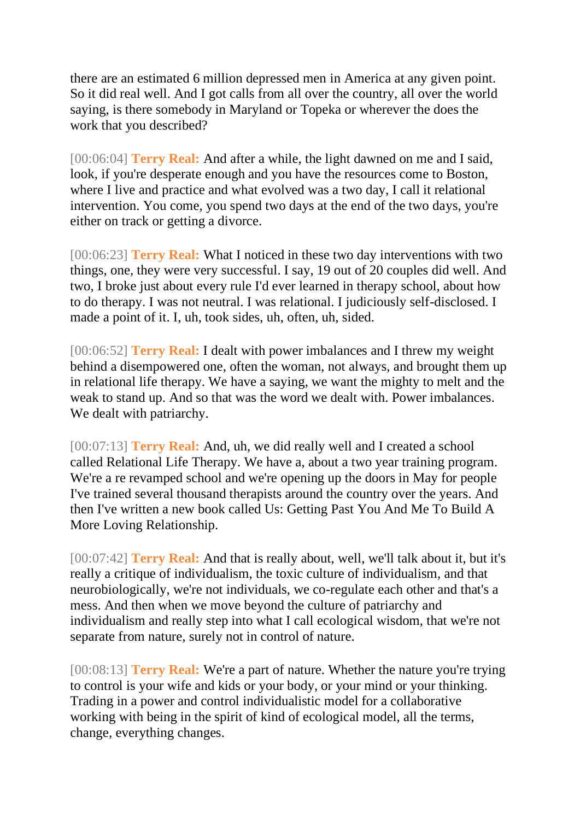there are an estimated 6 million depressed men in America at any given point. So it did real well. And I got calls from all over the country, all over the world saying, is there somebody in Maryland or Topeka or wherever the does the work that you described?

[00:06:04] **Terry Real:** And after a while, the light dawned on me and I said, look, if you're desperate enough and you have the resources come to Boston, where I live and practice and what evolved was a two day, I call it relational intervention. You come, you spend two days at the end of the two days, you're either on track or getting a divorce.

[00:06:23] **Terry Real:** What I noticed in these two day interventions with two things, one, they were very successful. I say, 19 out of 20 couples did well. And two, I broke just about every rule I'd ever learned in therapy school, about how to do therapy. I was not neutral. I was relational. I judiciously self-disclosed. I made a point of it. I, uh, took sides, uh, often, uh, sided.

[00:06:52] **Terry Real:** I dealt with power imbalances and I threw my weight behind a disempowered one, often the woman, not always, and brought them up in relational life therapy. We have a saying, we want the mighty to melt and the weak to stand up. And so that was the word we dealt with. Power imbalances. We dealt with patriarchy.

[00:07:13] **Terry Real:** And, uh, we did really well and I created a school called Relational Life Therapy. We have a, about a two year training program. We're a re revamped school and we're opening up the doors in May for people I've trained several thousand therapists around the country over the years. And then I've written a new book called Us: Getting Past You And Me To Build A More Loving Relationship.

[00:07:42] **Terry Real:** And that is really about, well, we'll talk about it, but it's really a critique of individualism, the toxic culture of individualism, and that neurobiologically, we're not individuals, we co-regulate each other and that's a mess. And then when we move beyond the culture of patriarchy and individualism and really step into what I call ecological wisdom, that we're not separate from nature, surely not in control of nature.

[00:08:13] **Terry Real:** We're a part of nature. Whether the nature you're trying to control is your wife and kids or your body, or your mind or your thinking. Trading in a power and control individualistic model for a collaborative working with being in the spirit of kind of ecological model, all the terms, change, everything changes.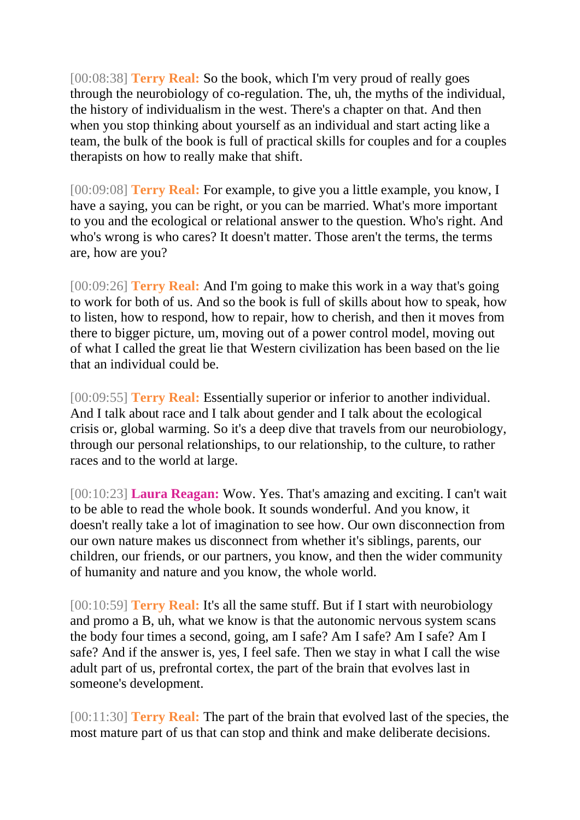[00:08:38] **Terry Real:** So the book, which I'm very proud of really goes through the neurobiology of co-regulation. The, uh, the myths of the individual, the history of individualism in the west. There's a chapter on that. And then when you stop thinking about yourself as an individual and start acting like a team, the bulk of the book is full of practical skills for couples and for a couples therapists on how to really make that shift.

[00:09:08] **Terry Real:** For example, to give you a little example, you know, I have a saying, you can be right, or you can be married. What's more important to you and the ecological or relational answer to the question. Who's right. And who's wrong is who cares? It doesn't matter. Those aren't the terms, the terms are, how are you?

[00:09:26] **Terry Real:** And I'm going to make this work in a way that's going to work for both of us. And so the book is full of skills about how to speak, how to listen, how to respond, how to repair, how to cherish, and then it moves from there to bigger picture, um, moving out of a power control model, moving out of what I called the great lie that Western civilization has been based on the lie that an individual could be.

[00:09:55] **Terry Real:** Essentially superior or inferior to another individual. And I talk about race and I talk about gender and I talk about the ecological crisis or, global warming. So it's a deep dive that travels from our neurobiology, through our personal relationships, to our relationship, to the culture, to rather races and to the world at large.

[00:10:23] **Laura Reagan:** Wow. Yes. That's amazing and exciting. I can't wait to be able to read the whole book. It sounds wonderful. And you know, it doesn't really take a lot of imagination to see how. Our own disconnection from our own nature makes us disconnect from whether it's siblings, parents, our children, our friends, or our partners, you know, and then the wider community of humanity and nature and you know, the whole world.

[00:10:59] **Terry Real:** It's all the same stuff. But if I start with neurobiology and promo a B, uh, what we know is that the autonomic nervous system scans the body four times a second, going, am I safe? Am I safe? Am I safe? Am I safe? And if the answer is, yes, I feel safe. Then we stay in what I call the wise adult part of us, prefrontal cortex, the part of the brain that evolves last in someone's development.

[00:11:30] **Terry Real:** The part of the brain that evolved last of the species, the most mature part of us that can stop and think and make deliberate decisions.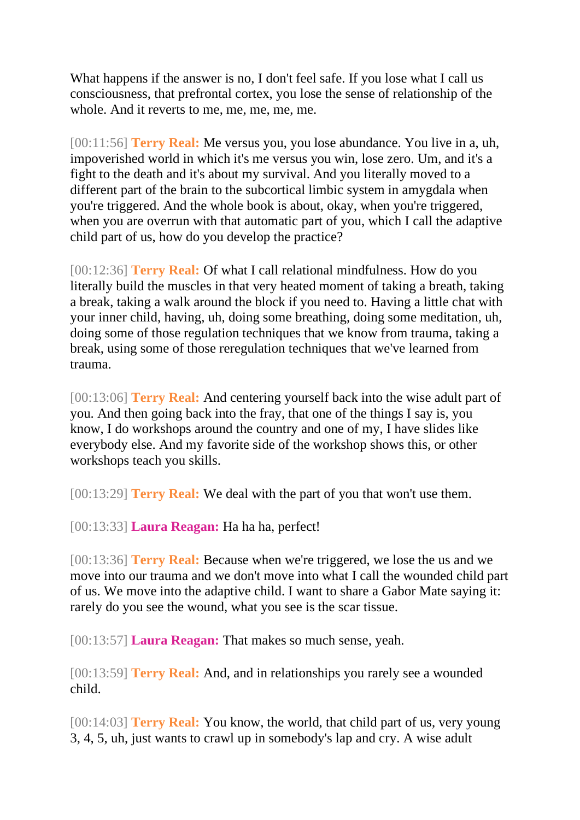What happens if the answer is no, I don't feel safe. If you lose what I call us consciousness, that prefrontal cortex, you lose the sense of relationship of the whole. And it reverts to me, me, me, me, me.

[00:11:56] **Terry Real:** Me versus you, you lose abundance. You live in a, uh, impoverished world in which it's me versus you win, lose zero. Um, and it's a fight to the death and it's about my survival. And you literally moved to a different part of the brain to the subcortical limbic system in amygdala when you're triggered. And the whole book is about, okay, when you're triggered, when you are overrun with that automatic part of you, which I call the adaptive child part of us, how do you develop the practice?

[00:12:36] **Terry Real:** Of what I call relational mindfulness. How do you literally build the muscles in that very heated moment of taking a breath, taking a break, taking a walk around the block if you need to. Having a little chat with your inner child, having, uh, doing some breathing, doing some meditation, uh, doing some of those regulation techniques that we know from trauma, taking a break, using some of those reregulation techniques that we've learned from trauma.

[00:13:06] **Terry Real:** And centering yourself back into the wise adult part of you. And then going back into the fray, that one of the things I say is, you know, I do workshops around the country and one of my, I have slides like everybody else. And my favorite side of the workshop shows this, or other workshops teach you skills.

[00:13:29] **Terry Real:** We deal with the part of you that won't use them.

[00:13:33] **Laura Reagan:** Ha ha ha, perfect!

[00:13:36] **Terry Real:** Because when we're triggered, we lose the us and we move into our trauma and we don't move into what I call the wounded child part of us. We move into the adaptive child. I want to share a Gabor Mate saying it: rarely do you see the wound, what you see is the scar tissue.

[00:13:57] **Laura Reagan:** That makes so much sense, yeah.

[00:13:59] **Terry Real:** And, and in relationships you rarely see a wounded child.

[00:14:03] **Terry Real:** You know, the world, that child part of us, very young 3, 4, 5, uh, just wants to crawl up in somebody's lap and cry. A wise adult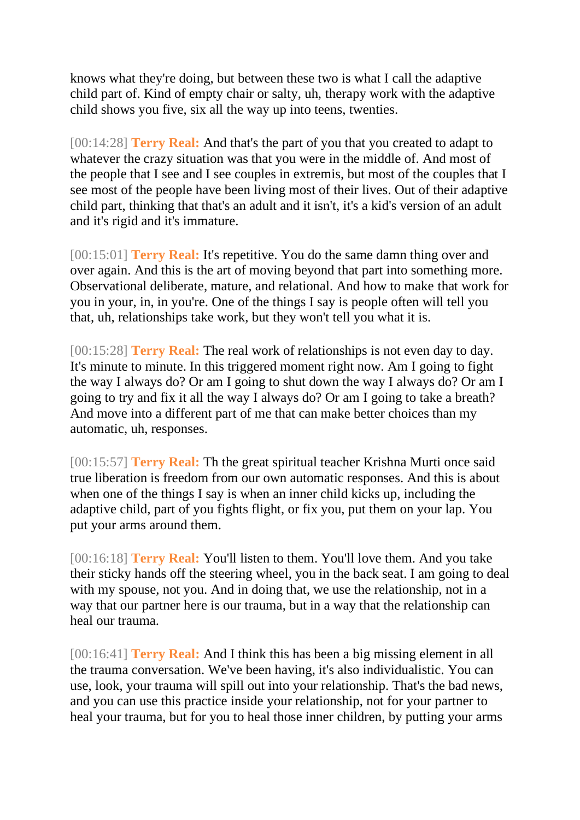knows what they're doing, but between these two is what I call the adaptive child part of. Kind of empty chair or salty, uh, therapy work with the adaptive child shows you five, six all the way up into teens, twenties.

[00:14:28] **Terry Real:** And that's the part of you that you created to adapt to whatever the crazy situation was that you were in the middle of. And most of the people that I see and I see couples in extremis, but most of the couples that I see most of the people have been living most of their lives. Out of their adaptive child part, thinking that that's an adult and it isn't, it's a kid's version of an adult and it's rigid and it's immature.

[00:15:01] **Terry Real:** It's repetitive. You do the same damn thing over and over again. And this is the art of moving beyond that part into something more. Observational deliberate, mature, and relational. And how to make that work for you in your, in, in you're. One of the things I say is people often will tell you that, uh, relationships take work, but they won't tell you what it is.

[00:15:28] **Terry Real:** The real work of relationships is not even day to day. It's minute to minute. In this triggered moment right now. Am I going to fight the way I always do? Or am I going to shut down the way I always do? Or am I going to try and fix it all the way I always do? Or am I going to take a breath? And move into a different part of me that can make better choices than my automatic, uh, responses.

[00:15:57] **Terry Real:** Th the great spiritual teacher Krishna Murti once said true liberation is freedom from our own automatic responses. And this is about when one of the things I say is when an inner child kicks up, including the adaptive child, part of you fights flight, or fix you, put them on your lap. You put your arms around them.

[00:16:18] **Terry Real:** You'll listen to them. You'll love them. And you take their sticky hands off the steering wheel, you in the back seat. I am going to deal with my spouse, not you. And in doing that, we use the relationship, not in a way that our partner here is our trauma, but in a way that the relationship can heal our trauma.

[00:16:41] **Terry Real:** And I think this has been a big missing element in all the trauma conversation. We've been having, it's also individualistic. You can use, look, your trauma will spill out into your relationship. That's the bad news, and you can use this practice inside your relationship, not for your partner to heal your trauma, but for you to heal those inner children, by putting your arms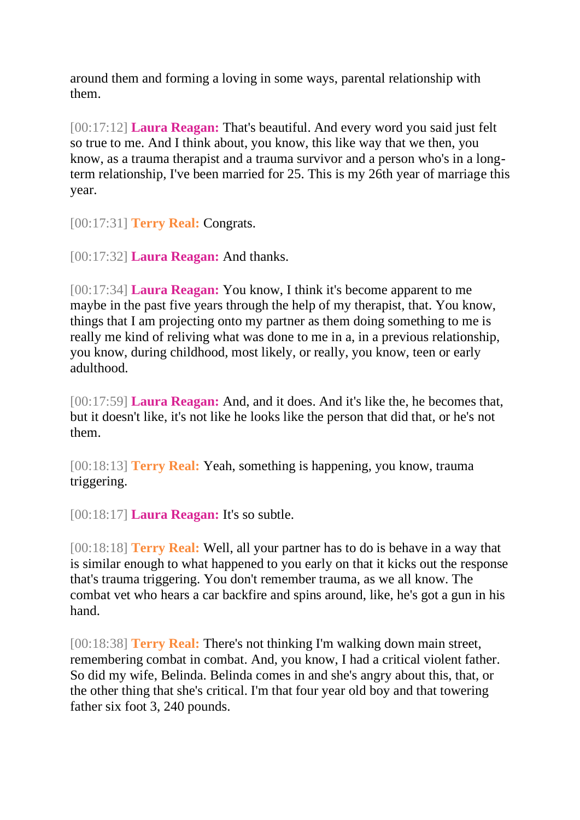around them and forming a loving in some ways, parental relationship with them.

[00:17:12] **Laura Reagan:** That's beautiful. And every word you said just felt so true to me. And I think about, you know, this like way that we then, you know, as a trauma therapist and a trauma survivor and a person who's in a longterm relationship, I've been married for 25. This is my 26th year of marriage this year.

[00:17:31] **Terry Real:** Congrats.

[00:17:32] **Laura Reagan:** And thanks.

[00:17:34] **Laura Reagan:** You know, I think it's become apparent to me maybe in the past five years through the help of my therapist, that. You know, things that I am projecting onto my partner as them doing something to me is really me kind of reliving what was done to me in a, in a previous relationship, you know, during childhood, most likely, or really, you know, teen or early adulthood.

[00:17:59] **Laura Reagan:** And, and it does. And it's like the, he becomes that, but it doesn't like, it's not like he looks like the person that did that, or he's not them.

[00:18:13] **Terry Real:** Yeah, something is happening, you know, trauma triggering.

[00:18:17] **Laura Reagan:** It's so subtle.

[00:18:18] **Terry Real:** Well, all your partner has to do is behave in a way that is similar enough to what happened to you early on that it kicks out the response that's trauma triggering. You don't remember trauma, as we all know. The combat vet who hears a car backfire and spins around, like, he's got a gun in his hand.

[00:18:38] **Terry Real:** There's not thinking I'm walking down main street, remembering combat in combat. And, you know, I had a critical violent father. So did my wife, Belinda. Belinda comes in and she's angry about this, that, or the other thing that she's critical. I'm that four year old boy and that towering father six foot 3, 240 pounds.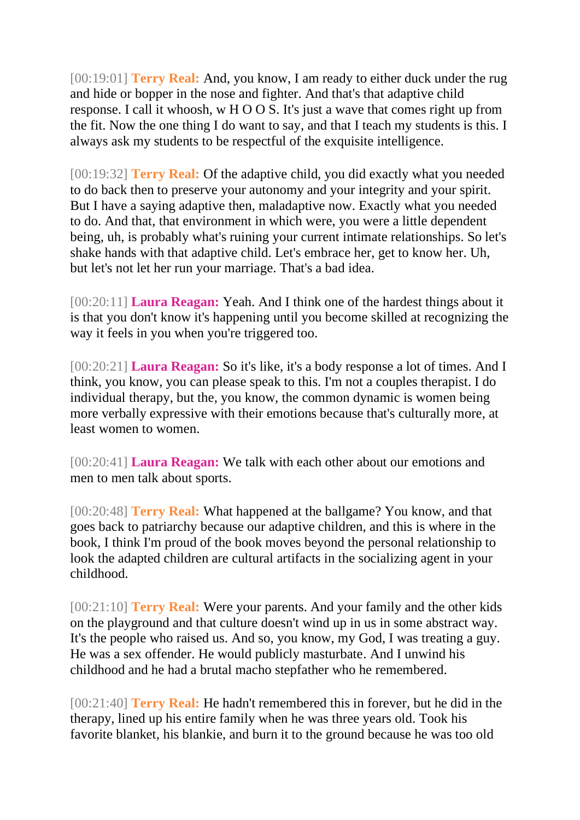[00:19:01] **Terry Real:** And, you know, I am ready to either duck under the rug and hide or bopper in the nose and fighter. And that's that adaptive child response. I call it whoosh, w H O O S. It's just a wave that comes right up from the fit. Now the one thing I do want to say, and that I teach my students is this. I always ask my students to be respectful of the exquisite intelligence.

[00:19:32] **Terry Real:** Of the adaptive child, you did exactly what you needed to do back then to preserve your autonomy and your integrity and your spirit. But I have a saying adaptive then, maladaptive now. Exactly what you needed to do. And that, that environment in which were, you were a little dependent being, uh, is probably what's ruining your current intimate relationships. So let's shake hands with that adaptive child. Let's embrace her, get to know her. Uh, but let's not let her run your marriage. That's a bad idea.

[00:20:11] **Laura Reagan:** Yeah. And I think one of the hardest things about it is that you don't know it's happening until you become skilled at recognizing the way it feels in you when you're triggered too.

[00:20:21] **Laura Reagan:** So it's like, it's a body response a lot of times. And I think, you know, you can please speak to this. I'm not a couples therapist. I do individual therapy, but the, you know, the common dynamic is women being more verbally expressive with their emotions because that's culturally more, at least women to women.

[00:20:41] **Laura Reagan:** We talk with each other about our emotions and men to men talk about sports.

[00:20:48] **Terry Real:** What happened at the ballgame? You know, and that goes back to patriarchy because our adaptive children, and this is where in the book, I think I'm proud of the book moves beyond the personal relationship to look the adapted children are cultural artifacts in the socializing agent in your childhood.

[00:21:10] **Terry Real:** Were your parents. And your family and the other kids on the playground and that culture doesn't wind up in us in some abstract way. It's the people who raised us. And so, you know, my God, I was treating a guy. He was a sex offender. He would publicly masturbate. And I unwind his childhood and he had a brutal macho stepfather who he remembered.

[00:21:40] **Terry Real:** He hadn't remembered this in forever, but he did in the therapy, lined up his entire family when he was three years old. Took his favorite blanket, his blankie, and burn it to the ground because he was too old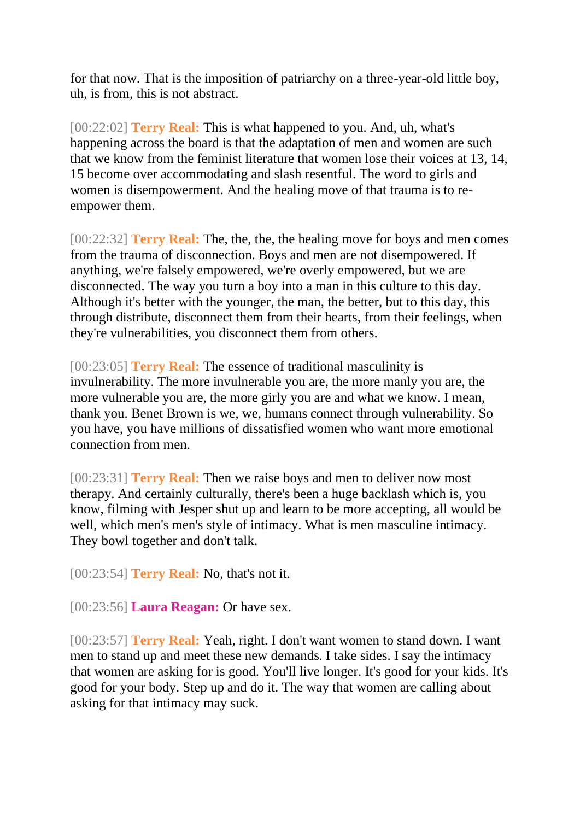for that now. That is the imposition of patriarchy on a three-year-old little boy, uh, is from, this is not abstract.

[00:22:02] **Terry Real:** This is what happened to you. And, uh, what's happening across the board is that the adaptation of men and women are such that we know from the feminist literature that women lose their voices at 13, 14, 15 become over accommodating and slash resentful. The word to girls and women is disempowerment. And the healing move of that trauma is to reempower them.

[00:22:32] **Terry Real:** The, the, the, the healing move for boys and men comes from the trauma of disconnection. Boys and men are not disempowered. If anything, we're falsely empowered, we're overly empowered, but we are disconnected. The way you turn a boy into a man in this culture to this day. Although it's better with the younger, the man, the better, but to this day, this through distribute, disconnect them from their hearts, from their feelings, when they're vulnerabilities, you disconnect them from others.

[00:23:05] **Terry Real:** The essence of traditional masculinity is invulnerability. The more invulnerable you are, the more manly you are, the more vulnerable you are, the more girly you are and what we know. I mean, thank you. Benet Brown is we, we, humans connect through vulnerability. So you have, you have millions of dissatisfied women who want more emotional connection from men.

[00:23:31] **Terry Real:** Then we raise boys and men to deliver now most therapy. And certainly culturally, there's been a huge backlash which is, you know, filming with Jesper shut up and learn to be more accepting, all would be well, which men's men's style of intimacy. What is men masculine intimacy. They bowl together and don't talk.

[00:23:54] **Terry Real:** No, that's not it.

[00:23:56] **Laura Reagan:** Or have sex.

[00:23:57] **Terry Real:** Yeah, right. I don't want women to stand down. I want men to stand up and meet these new demands. I take sides. I say the intimacy that women are asking for is good. You'll live longer. It's good for your kids. It's good for your body. Step up and do it. The way that women are calling about asking for that intimacy may suck.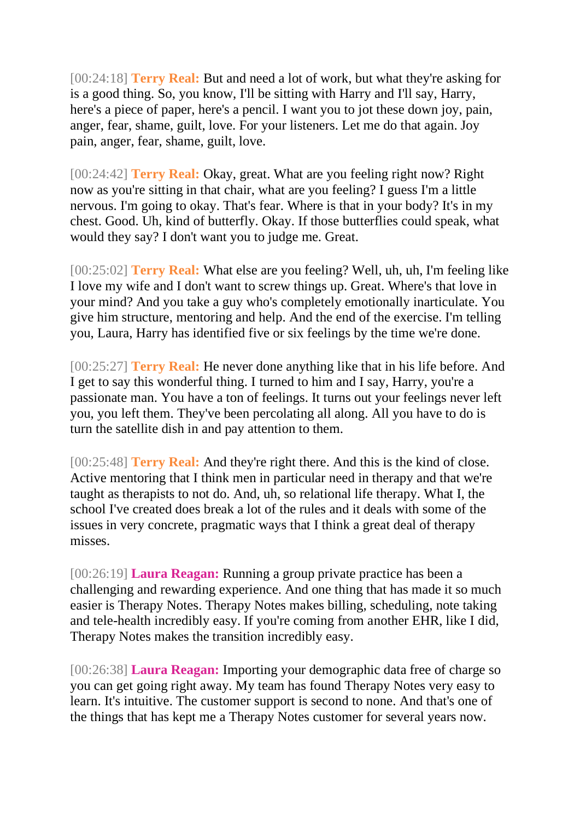[00:24:18] **Terry Real:** But and need a lot of work, but what they're asking for is a good thing. So, you know, I'll be sitting with Harry and I'll say, Harry, here's a piece of paper, here's a pencil. I want you to jot these down joy, pain, anger, fear, shame, guilt, love. For your listeners. Let me do that again. Joy pain, anger, fear, shame, guilt, love.

[00:24:42] **Terry Real:** Okay, great. What are you feeling right now? Right now as you're sitting in that chair, what are you feeling? I guess I'm a little nervous. I'm going to okay. That's fear. Where is that in your body? It's in my chest. Good. Uh, kind of butterfly. Okay. If those butterflies could speak, what would they say? I don't want you to judge me. Great.

[00:25:02] **Terry Real:** What else are you feeling? Well, uh, uh, I'm feeling like I love my wife and I don't want to screw things up. Great. Where's that love in your mind? And you take a guy who's completely emotionally inarticulate. You give him structure, mentoring and help. And the end of the exercise. I'm telling you, Laura, Harry has identified five or six feelings by the time we're done.

[00:25:27] **Terry Real:** He never done anything like that in his life before. And I get to say this wonderful thing. I turned to him and I say, Harry, you're a passionate man. You have a ton of feelings. It turns out your feelings never left you, you left them. They've been percolating all along. All you have to do is turn the satellite dish in and pay attention to them.

[00:25:48] **Terry Real:** And they're right there. And this is the kind of close. Active mentoring that I think men in particular need in therapy and that we're taught as therapists to not do. And, uh, so relational life therapy. What I, the school I've created does break a lot of the rules and it deals with some of the issues in very concrete, pragmatic ways that I think a great deal of therapy misses.

[00:26:19] **Laura Reagan:** Running a group private practice has been a challenging and rewarding experience. And one thing that has made it so much easier is Therapy Notes. Therapy Notes makes billing, scheduling, note taking and tele-health incredibly easy. If you're coming from another EHR, like I did, Therapy Notes makes the transition incredibly easy.

[00:26:38] **Laura Reagan:** Importing your demographic data free of charge so you can get going right away. My team has found Therapy Notes very easy to learn. It's intuitive. The customer support is second to none. And that's one of the things that has kept me a Therapy Notes customer for several years now.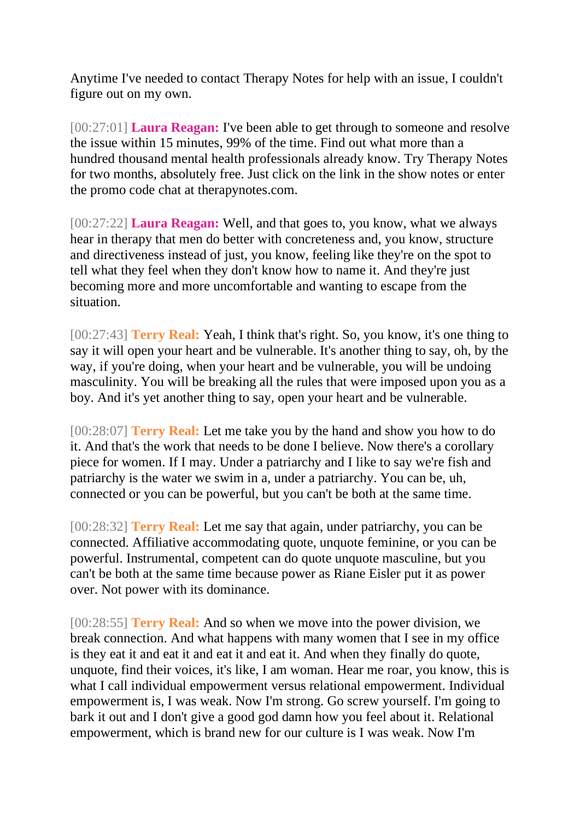Anytime I've needed to contact Therapy Notes for help with an issue, I couldn't figure out on my own.

[00:27:01] **Laura Reagan:** I've been able to get through to someone and resolve the issue within 15 minutes, 99% of the time. Find out what more than a hundred thousand mental health professionals already know. Try Therapy Notes for two months, absolutely free. Just click on the link in the show notes or enter the promo code chat at therapynotes.com.

[00:27:22] **Laura Reagan:** Well, and that goes to, you know, what we always hear in therapy that men do better with concreteness and, you know, structure and directiveness instead of just, you know, feeling like they're on the spot to tell what they feel when they don't know how to name it. And they're just becoming more and more uncomfortable and wanting to escape from the situation.

[00:27:43] **Terry Real:** Yeah, I think that's right. So, you know, it's one thing to say it will open your heart and be vulnerable. It's another thing to say, oh, by the way, if you're doing, when your heart and be vulnerable, you will be undoing masculinity. You will be breaking all the rules that were imposed upon you as a boy. And it's yet another thing to say, open your heart and be vulnerable.

[00:28:07] **Terry Real:** Let me take you by the hand and show you how to do it. And that's the work that needs to be done I believe. Now there's a corollary piece for women. If I may. Under a patriarchy and I like to say we're fish and patriarchy is the water we swim in a, under a patriarchy. You can be, uh, connected or you can be powerful, but you can't be both at the same time.

[00:28:32] **Terry Real:** Let me say that again, under patriarchy, you can be connected. Affiliative accommodating quote, unquote feminine, or you can be powerful. Instrumental, competent can do quote unquote masculine, but you can't be both at the same time because power as Riane Eisler put it as power over. Not power with its dominance.

[00:28:55] **Terry Real:** And so when we move into the power division, we break connection. And what happens with many women that I see in my office is they eat it and eat it and eat it and eat it. And when they finally do quote, unquote, find their voices, it's like, I am woman. Hear me roar, you know, this is what I call individual empowerment versus relational empowerment. Individual empowerment is, I was weak. Now I'm strong. Go screw yourself. I'm going to bark it out and I don't give a good god damn how you feel about it. Relational empowerment, which is brand new for our culture is I was weak. Now I'm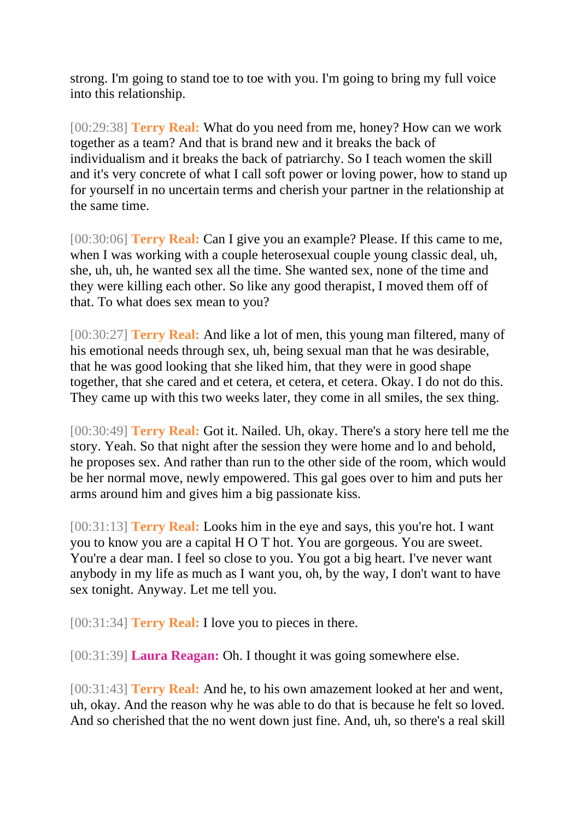strong. I'm going to stand toe to toe with you. I'm going to bring my full voice into this relationship.

[00:29:38] **Terry Real:** What do you need from me, honey? How can we work together as a team? And that is brand new and it breaks the back of individualism and it breaks the back of patriarchy. So I teach women the skill and it's very concrete of what I call soft power or loving power, how to stand up for yourself in no uncertain terms and cherish your partner in the relationship at the same time.

[00:30:06] **Terry Real:** Can I give you an example? Please. If this came to me, when I was working with a couple heterosexual couple young classic deal, uh, she, uh, uh, he wanted sex all the time. She wanted sex, none of the time and they were killing each other. So like any good therapist, I moved them off of that. To what does sex mean to you?

[00:30:27] **Terry Real:** And like a lot of men, this young man filtered, many of his emotional needs through sex, uh, being sexual man that he was desirable, that he was good looking that she liked him, that they were in good shape together, that she cared and et cetera, et cetera, et cetera. Okay. I do not do this. They came up with this two weeks later, they come in all smiles, the sex thing.

[00:30:49] **Terry Real:** Got it. Nailed. Uh, okay. There's a story here tell me the story. Yeah. So that night after the session they were home and lo and behold, he proposes sex. And rather than run to the other side of the room, which would be her normal move, newly empowered. This gal goes over to him and puts her arms around him and gives him a big passionate kiss.

[00:31:13] **Terry Real:** Looks him in the eye and says, this you're hot. I want you to know you are a capital H O T hot. You are gorgeous. You are sweet. You're a dear man. I feel so close to you. You got a big heart. I've never want anybody in my life as much as I want you, oh, by the way, I don't want to have sex tonight. Anyway. Let me tell you.

[00:31:34] **Terry Real:** I love you to pieces in there.

[00:31:39] **Laura Reagan:** Oh. I thought it was going somewhere else.

[00:31:43] **Terry Real:** And he, to his own amazement looked at her and went, uh, okay. And the reason why he was able to do that is because he felt so loved. And so cherished that the no went down just fine. And, uh, so there's a real skill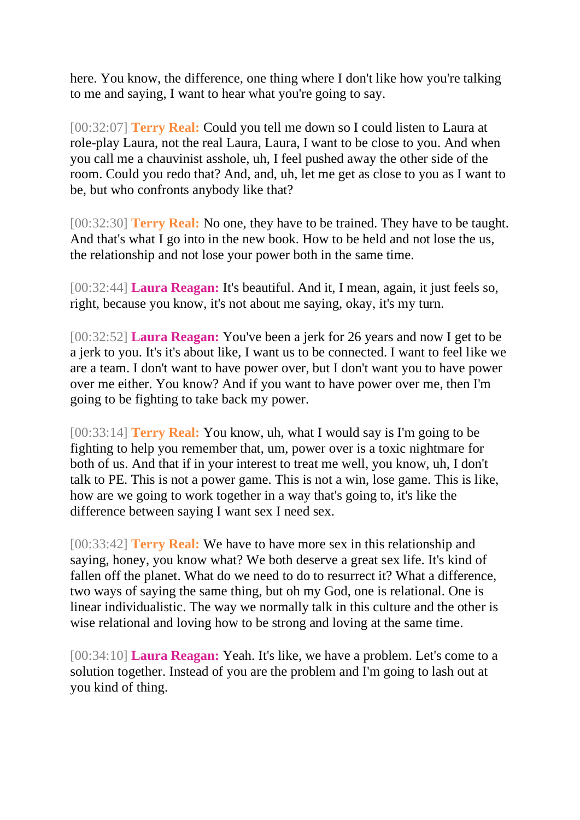here. You know, the difference, one thing where I don't like how you're talking to me and saying, I want to hear what you're going to say.

[00:32:07] **Terry Real:** Could you tell me down so I could listen to Laura at role-play Laura, not the real Laura, Laura, I want to be close to you. And when you call me a chauvinist asshole, uh, I feel pushed away the other side of the room. Could you redo that? And, and, uh, let me get as close to you as I want to be, but who confronts anybody like that?

[00:32:30] **Terry Real:** No one, they have to be trained. They have to be taught. And that's what I go into in the new book. How to be held and not lose the us, the relationship and not lose your power both in the same time.

[00:32:44] **Laura Reagan:** It's beautiful. And it, I mean, again, it just feels so, right, because you know, it's not about me saying, okay, it's my turn.

[00:32:52] **Laura Reagan:** You've been a jerk for 26 years and now I get to be a jerk to you. It's it's about like, I want us to be connected. I want to feel like we are a team. I don't want to have power over, but I don't want you to have power over me either. You know? And if you want to have power over me, then I'm going to be fighting to take back my power.

[00:33:14] **Terry Real:** You know, uh, what I would say is I'm going to be fighting to help you remember that, um, power over is a toxic nightmare for both of us. And that if in your interest to treat me well, you know, uh, I don't talk to PE. This is not a power game. This is not a win, lose game. This is like, how are we going to work together in a way that's going to, it's like the difference between saying I want sex I need sex.

[00:33:42] **Terry Real:** We have to have more sex in this relationship and saying, honey, you know what? We both deserve a great sex life. It's kind of fallen off the planet. What do we need to do to resurrect it? What a difference, two ways of saying the same thing, but oh my God, one is relational. One is linear individualistic. The way we normally talk in this culture and the other is wise relational and loving how to be strong and loving at the same time.

[00:34:10] **Laura Reagan:** Yeah. It's like, we have a problem. Let's come to a solution together. Instead of you are the problem and I'm going to lash out at you kind of thing.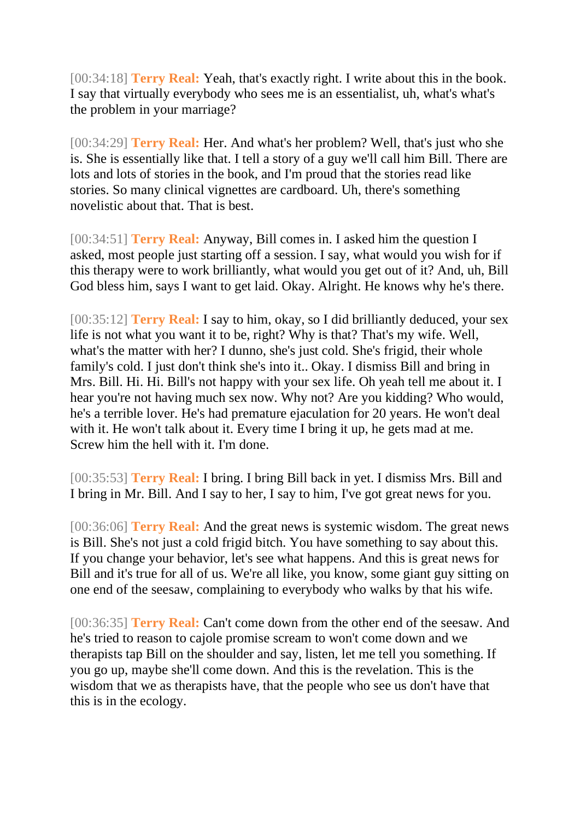[00:34:18] **Terry Real:** Yeah, that's exactly right. I write about this in the book. I say that virtually everybody who sees me is an essentialist, uh, what's what's the problem in your marriage?

[00:34:29] **Terry Real:** Her. And what's her problem? Well, that's just who she is. She is essentially like that. I tell a story of a guy we'll call him Bill. There are lots and lots of stories in the book, and I'm proud that the stories read like stories. So many clinical vignettes are cardboard. Uh, there's something novelistic about that. That is best.

[00:34:51] **Terry Real:** Anyway, Bill comes in. I asked him the question I asked, most people just starting off a session. I say, what would you wish for if this therapy were to work brilliantly, what would you get out of it? And, uh, Bill God bless him, says I want to get laid. Okay. Alright. He knows why he's there.

[00:35:12] **Terry Real:** I say to him, okay, so I did brilliantly deduced, your sex life is not what you want it to be, right? Why is that? That's my wife. Well, what's the matter with her? I dunno, she's just cold. She's frigid, their whole family's cold. I just don't think she's into it.. Okay. I dismiss Bill and bring in Mrs. Bill. Hi. Hi. Bill's not happy with your sex life. Oh yeah tell me about it. I hear you're not having much sex now. Why not? Are you kidding? Who would, he's a terrible lover. He's had premature ejaculation for 20 years. He won't deal with it. He won't talk about it. Every time I bring it up, he gets mad at me. Screw him the hell with it. I'm done.

[00:35:53] **Terry Real:** I bring. I bring Bill back in yet. I dismiss Mrs. Bill and I bring in Mr. Bill. And I say to her, I say to him, I've got great news for you.

[00:36:06] **Terry Real:** And the great news is systemic wisdom. The great news is Bill. She's not just a cold frigid bitch. You have something to say about this. If you change your behavior, let's see what happens. And this is great news for Bill and it's true for all of us. We're all like, you know, some giant guy sitting on one end of the seesaw, complaining to everybody who walks by that his wife.

[00:36:35] **Terry Real:** Can't come down from the other end of the seesaw. And he's tried to reason to cajole promise scream to won't come down and we therapists tap Bill on the shoulder and say, listen, let me tell you something. If you go up, maybe she'll come down. And this is the revelation. This is the wisdom that we as therapists have, that the people who see us don't have that this is in the ecology.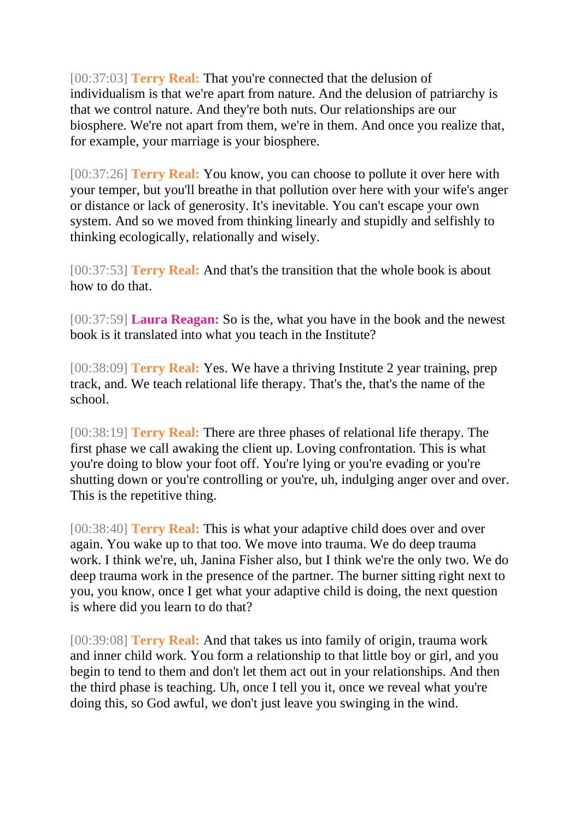[00:37:03] **Terry Real:** That you're connected that the delusion of individualism is that we're apart from nature. And the delusion of patriarchy is that we control nature. And they're both nuts. Our relationships are our biosphere. We're not apart from them, we're in them. And once you realize that, for example, your marriage is your biosphere.

[00:37:26] **Terry Real:** You know, you can choose to pollute it over here with your temper, but you'll breathe in that pollution over here with your wife's anger or distance or lack of generosity. It's inevitable. You can't escape your own system. And so we moved from thinking linearly and stupidly and selfishly to thinking ecologically, relationally and wisely.

[00:37:53] **Terry Real:** And that's the transition that the whole book is about how to do that.

[00:37:59] **Laura Reagan:** So is the, what you have in the book and the newest book is it translated into what you teach in the Institute?

[00:38:09] **Terry Real:** Yes. We have a thriving Institute 2 year training, prep track, and. We teach relational life therapy. That's the, that's the name of the school.

[00:38:19] **Terry Real:** There are three phases of relational life therapy. The first phase we call awaking the client up. Loving confrontation. This is what you're doing to blow your foot off. You're lying or you're evading or you're shutting down or you're controlling or you're, uh, indulging anger over and over. This is the repetitive thing.

[00:38:40] **Terry Real:** This is what your adaptive child does over and over again. You wake up to that too. We move into trauma. We do deep trauma work. I think we're, uh, Janina Fisher also, but I think we're the only two. We do deep trauma work in the presence of the partner. The burner sitting right next to you, you know, once I get what your adaptive child is doing, the next question is where did you learn to do that?

[00:39:08] **Terry Real:** And that takes us into family of origin, trauma work and inner child work. You form a relationship to that little boy or girl, and you begin to tend to them and don't let them act out in your relationships. And then the third phase is teaching. Uh, once I tell you it, once we reveal what you're doing this, so God awful, we don't just leave you swinging in the wind.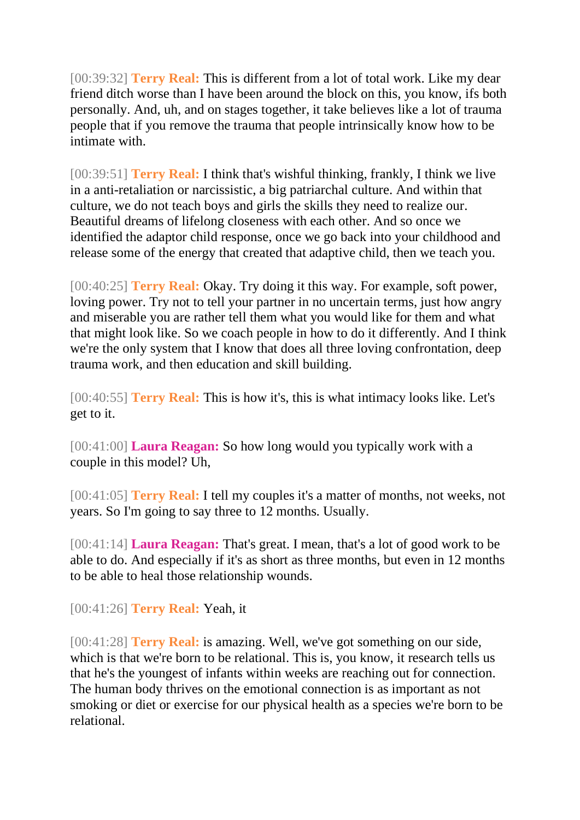[00:39:32] **Terry Real:** This is different from a lot of total work. Like my dear friend ditch worse than I have been around the block on this, you know, ifs both personally. And, uh, and on stages together, it take believes like a lot of trauma people that if you remove the trauma that people intrinsically know how to be intimate with.

[00:39:51] **Terry Real:** I think that's wishful thinking, frankly, I think we live in a anti-retaliation or narcissistic, a big patriarchal culture. And within that culture, we do not teach boys and girls the skills they need to realize our. Beautiful dreams of lifelong closeness with each other. And so once we identified the adaptor child response, once we go back into your childhood and release some of the energy that created that adaptive child, then we teach you.

[00:40:25] **Terry Real:** Okay. Try doing it this way. For example, soft power, loving power. Try not to tell your partner in no uncertain terms, just how angry and miserable you are rather tell them what you would like for them and what that might look like. So we coach people in how to do it differently. And I think we're the only system that I know that does all three loving confrontation, deep trauma work, and then education and skill building.

[00:40:55] **Terry Real:** This is how it's, this is what intimacy looks like. Let's get to it.

[00:41:00] **Laura Reagan:** So how long would you typically work with a couple in this model? Uh,

[00:41:05] **Terry Real:** I tell my couples it's a matter of months, not weeks, not years. So I'm going to say three to 12 months. Usually.

[00:41:14] **Laura Reagan:** That's great. I mean, that's a lot of good work to be able to do. And especially if it's as short as three months, but even in 12 months to be able to heal those relationship wounds.

[00:41:26] **Terry Real:** Yeah, it

[00:41:28] **Terry Real:** is amazing. Well, we've got something on our side, which is that we're born to be relational. This is, you know, it research tells us that he's the youngest of infants within weeks are reaching out for connection. The human body thrives on the emotional connection is as important as not smoking or diet or exercise for our physical health as a species we're born to be relational.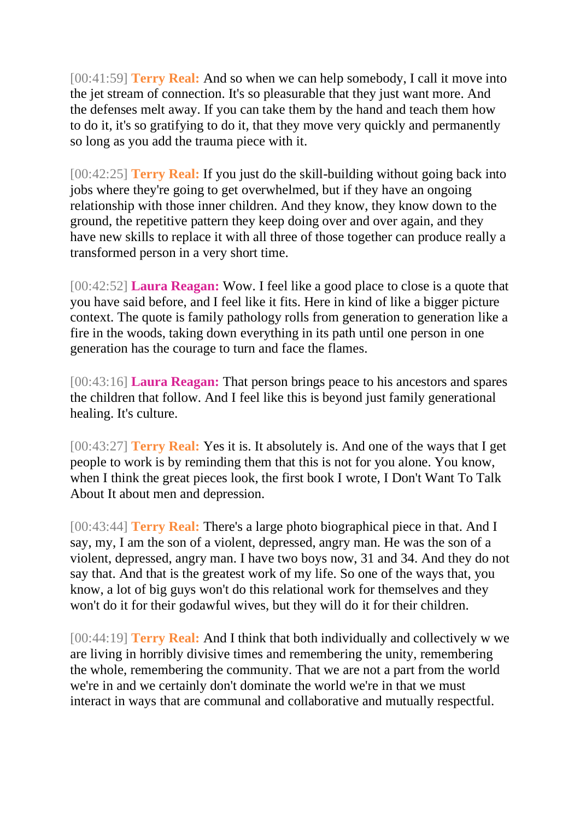[00:41:59] **Terry Real:** And so when we can help somebody, I call it move into the jet stream of connection. It's so pleasurable that they just want more. And the defenses melt away. If you can take them by the hand and teach them how to do it, it's so gratifying to do it, that they move very quickly and permanently so long as you add the trauma piece with it.

[00:42:25] **Terry Real:** If you just do the skill-building without going back into jobs where they're going to get overwhelmed, but if they have an ongoing relationship with those inner children. And they know, they know down to the ground, the repetitive pattern they keep doing over and over again, and they have new skills to replace it with all three of those together can produce really a transformed person in a very short time.

[00:42:52] **Laura Reagan:** Wow. I feel like a good place to close is a quote that you have said before, and I feel like it fits. Here in kind of like a bigger picture context. The quote is family pathology rolls from generation to generation like a fire in the woods, taking down everything in its path until one person in one generation has the courage to turn and face the flames.

[00:43:16] **Laura Reagan:** That person brings peace to his ancestors and spares the children that follow. And I feel like this is beyond just family generational healing. It's culture.

[00:43:27] **Terry Real:** Yes it is. It absolutely is. And one of the ways that I get people to work is by reminding them that this is not for you alone. You know, when I think the great pieces look, the first book I wrote, I Don't Want To Talk About It about men and depression.

[00:43:44] **Terry Real:** There's a large photo biographical piece in that. And I say, my, I am the son of a violent, depressed, angry man. He was the son of a violent, depressed, angry man. I have two boys now, 31 and 34. And they do not say that. And that is the greatest work of my life. So one of the ways that, you know, a lot of big guys won't do this relational work for themselves and they won't do it for their godawful wives, but they will do it for their children.

[00:44:19] **Terry Real:** And I think that both individually and collectively w we are living in horribly divisive times and remembering the unity, remembering the whole, remembering the community. That we are not a part from the world we're in and we certainly don't dominate the world we're in that we must interact in ways that are communal and collaborative and mutually respectful.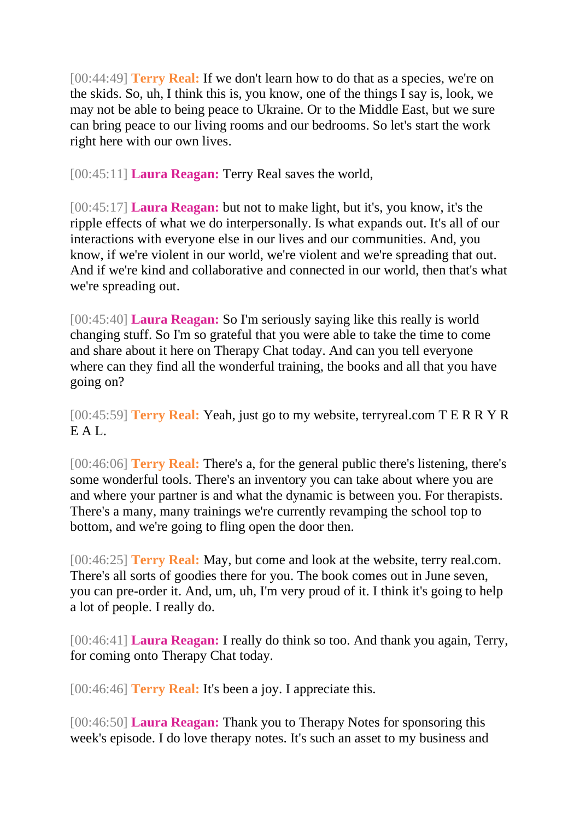[00:44:49] **Terry Real:** If we don't learn how to do that as a species, we're on the skids. So, uh, I think this is, you know, one of the things I say is, look, we may not be able to being peace to Ukraine. Or to the Middle East, but we sure can bring peace to our living rooms and our bedrooms. So let's start the work right here with our own lives.

[00:45:11] **Laura Reagan:** Terry Real saves the world,

[00:45:17] **Laura Reagan:** but not to make light, but it's, you know, it's the ripple effects of what we do interpersonally. Is what expands out. It's all of our interactions with everyone else in our lives and our communities. And, you know, if we're violent in our world, we're violent and we're spreading that out. And if we're kind and collaborative and connected in our world, then that's what we're spreading out.

[00:45:40] **Laura Reagan:** So I'm seriously saying like this really is world changing stuff. So I'm so grateful that you were able to take the time to come and share about it here on Therapy Chat today. And can you tell everyone where can they find all the wonderful training, the books and all that you have going on?

[00:45:59] **Terry Real:** Yeah, just go to my website, terryreal.com T E R R Y R E A L.

[00:46:06] **Terry Real:** There's a, for the general public there's listening, there's some wonderful tools. There's an inventory you can take about where you are and where your partner is and what the dynamic is between you. For therapists. There's a many, many trainings we're currently revamping the school top to bottom, and we're going to fling open the door then.

[00:46:25] **Terry Real:** May, but come and look at the website, terry real.com. There's all sorts of goodies there for you. The book comes out in June seven, you can pre-order it. And, um, uh, I'm very proud of it. I think it's going to help a lot of people. I really do.

[00:46:41] **Laura Reagan:** I really do think so too. And thank you again, Terry, for coming onto Therapy Chat today.

[00:46:46] **Terry Real:** It's been a joy. I appreciate this.

[00:46:50] **Laura Reagan:** Thank you to Therapy Notes for sponsoring this week's episode. I do love therapy notes. It's such an asset to my business and